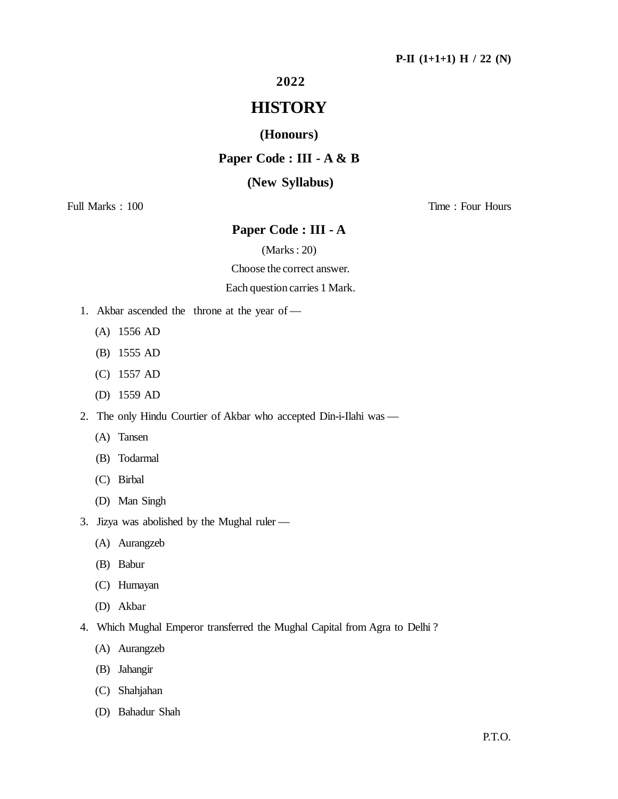### **2022**

# **HISTORY**

### **(Honours)**

### **Paper Code : III - A & B**

### **(New Syllabus)**

Full Marks : 100 Time : Four Hours

## **Paper Code : III - A**

(Marks : 20)

Choose the correct answer.

### Each question carries 1 Mark.

- 1. Akbar ascended the throne at the year of
	- (A) 1556 AD
	- (B) 1555 AD
	- (C) 1557 AD
	- (D) 1559 AD
- 2. The only Hindu Courtier of Akbar who accepted Din-i-Ilahi was
	- (A) Tansen
	- (B) Todarmal
	- (C) Birbal
	- (D) Man Singh
- 3. Jizya was abolished by the Mughal ruler
	- (A) Aurangzeb
	- (B) Babur
	- (C) Humayan
	- (D) Akbar
- 4. Which Mughal Emperor transferred the Mughal Capital from Agra to Delhi ?
	- (A) Aurangzeb
	- (B) Jahangir
	- (C) Shahjahan
	- (D) Bahadur Shah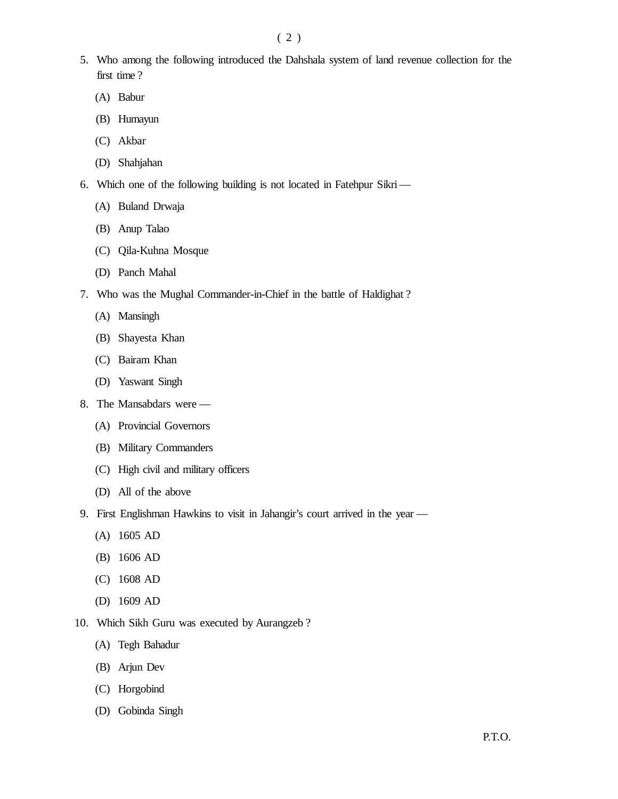- 5. Who among the following introduced the Dahshala system of land revenue collection for the first time ?
	- (A) Babur
	- (B) Humayun
	- (C) Akbar
	- (D) Shahjahan
- 6. Which one of the following building is not located in Fatehpur Sikri—
	- (A) Buland Drwaja
	- (B) Anup Talao
	- (C) Qila-Kuhna Mosque
	- (D) Panch Mahal
- 7. Who was the Mughal Commander-in-Chief in the battle of Haldighat ?
	- (A) Mansingh
	- (B) Shayesta Khan
	- (C) Bairam Khan
	- (D) Yaswant Singh
- 8. The Mansabdars were
	- (A) Provincial Governors
	- (B) Military Commanders
	- (C) High civil and military officers
	- (D) All of the above
- 9. First Englishman Hawkins to visit in Jahangir's court arrived in the year
	- (A) 1605 AD
	- (B) 1606 AD
	- (C) 1608 AD
	- (D) 1609 AD
- 10. Which Sikh Guru was executed by Aurangzeb ?
	- (A) Tegh Bahadur
	- (B) Arjun Dev
	- (C) Horgobind
	- (D) Gobinda Singh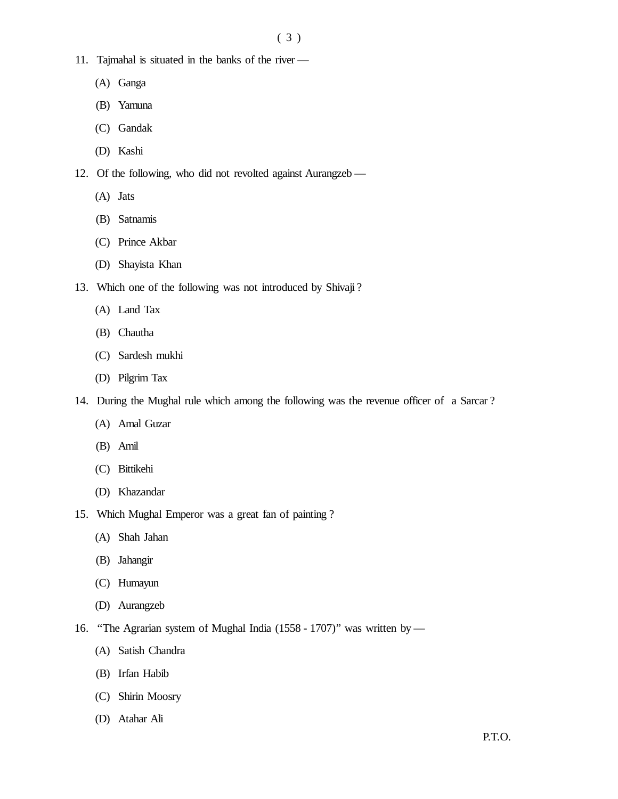- 11. Tajmahal is situated in the banks of the river
	- (A) Ganga
	- (B) Yamuna
	- (C) Gandak
	- (D) Kashi
- 12. Of the following, who did not revolted against Aurangzeb
	- (A) Jats
	- (B) Satnamis
	- (C) Prince Akbar
	- (D) Shayista Khan
- 13. Which one of the following was not introduced by Shivaji ?
	- (A) Land Tax
	- (B) Chautha
	- (C) Sardesh mukhi
	- (D) Pilgrim Tax
- 14. During the Mughal rule which among the following was the revenue officer of a Sarcar ?
	- (A) Amal Guzar
	- (B) Amil
	- (C) Bittikehi
	- (D) Khazandar
- 15. Which Mughal Emperor was a great fan of painting ?
	- (A) Shah Jahan
	- (B) Jahangir
	- (C) Humayun
	- (D) Aurangzeb
- 16. ''The Agrarian system of Mughal India (1558 1707)'' was written by
	- (A) Satish Chandra
	- (B) Irfan Habib
	- (C) Shirin Moosry
	- (D) Atahar Ali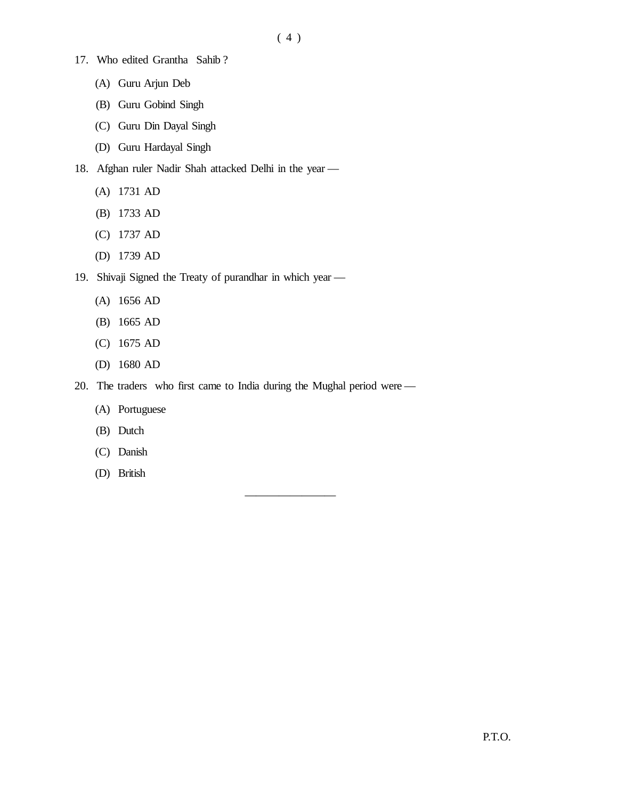- 17. Who edited Grantha Sahib ?
	- (A) Guru Arjun Deb
	- (B) Guru Gobind Singh
	- (C) Guru Din Dayal Singh
	- (D) Guru Hardayal Singh
- 18. Afghan ruler Nadir Shah attacked Delhi in the year
	- (A) 1731 AD
	- (B) 1733 AD
	- (C) 1737 AD
	- (D) 1739 AD
- 19. Shivaji Signed the Treaty of purandhar in which year
	- (A) 1656 AD
	- (B) 1665 AD
	- (C) 1675 AD
	- (D) 1680 AD
- 20. The traders who first came to India during the Mughal period were —

————————

- (A) Portuguese
- (B) Dutch
- (C) Danish
- (D) British